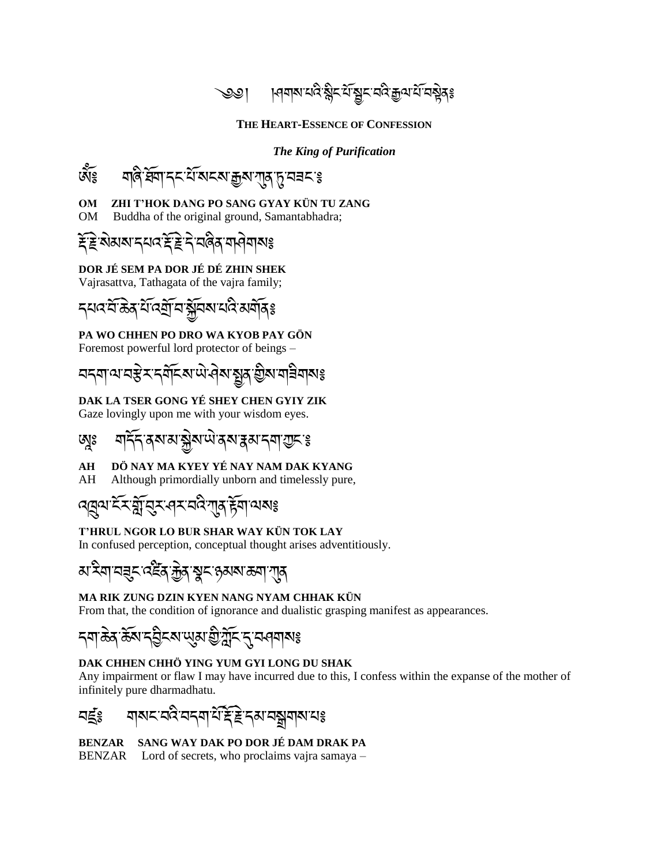্��। । ।ধমাম'থবি:ষ্ণ্ণীম'র্মান্ন শ্রনীমী দিবা দিবলৈ স

#### **THE HEART-ESSENCE OF CONFESSION**

#### *The King of Purification*



#### **OM ZHI T'HOK DANG PO SANG GYAY KÜN TU ZANG**

OM Buddha of the original ground, Samantabhadra;

# <u>ইট্</u>ন্স্প্ৰাপ্ৰাৰ হৈছি দ্ৰী বৰি মাৰী বাৰা

#### **DOR JÉ SEM PA DOR JÉ DÉ ZHIN SHEK**

Vajrasattva, Tathagata of the vajra family;

དཔའ་བོ་ཆྗེན་པོ་འགོ་བ་སོབས་པའི་མགོན༔

#### **PA WO CHHEN PO DRO WA KYOB PAY GÖN**

Foremost powerful lord protector of beings –

<u>བདག་ལ་བརྱེར་དགོངས་ལེ་འེས་སྲུན་བྱིས་ག<code>ầགསঃ</code></u>

### **DAK LA TSER GONG YÉ SHEY CHEN GYIY ZIK**

Gaze lovingly upon me with your wisdom eyes.

# <u>ଊୢଃ ସାର୍ଦିମଞ୍</u>ଜଷ୍ଟ୍ରା ଶୁଷ୍ଟି ଏକ୍ସି ଅମ୍ବୋ*ସ୍ତ*େ କ

#### **AH DÖ NAY MA KYEY YÉ NAY NAM DAK KYANG**

AH Although primordially unborn and timelessly pure,

# <u>বেবেল ইস্কুরিস্বের অব্যাপ্ত ইয়া ব্যবঙ্</u>

#### **T'HRUL NGOR LO BUR SHAR WAY KÜN TOK LAY**

In confused perception, conceptual thought arises adventitiously.

### *য়৾* ঽয়ৼ৶ৼৼ৻ৼৢৼৼ৻ৼ৻য়৸ৼ৻ৼ৻৸ৼ৻ৼ৻৸ৼ৻৸ৼ৻৸

#### **MA RIK ZUNG DZIN KYEN NANG NYAM CHHAK KÜN**

From that, the condition of ignorance and dualistic grasping manifest as appearances.

# དག་ཆྗེན་ཆོས་དབིངས་ཡུམ་གི་ཀོང་དུ་བཤགས༔

#### **DAK CHHEN CHHÖ YING YUM GYI LONG DU SHAK**

Any impairment or flaw I may have incurred due to this, I confess within the expanse of the mother of infinitely pure dharmadhatu.



**BENZAR SANG WAY DAK PO DOR JÉ DAM DRAK PA** BENZAR Lord of secrets, who proclaims vajra samaya –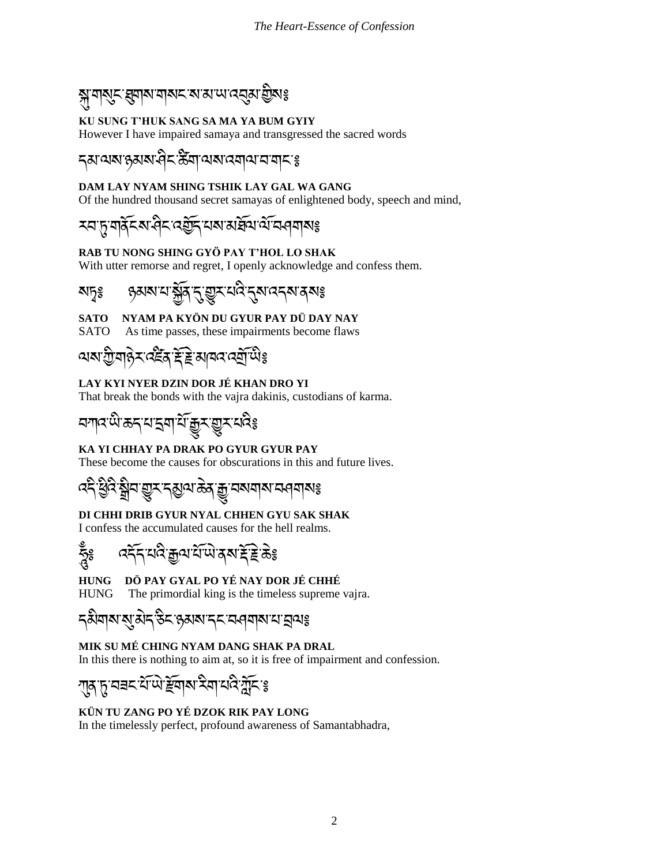# ষ্মুশম্ড্ৰায়মান্মৰ মামানেব্ৰুমাণ্ড্ৰীমঃ

### **KU SUNG T'HUK SANG SA MA YA BUM GYIY**

However I have impaired samaya and transgressed the sacred words

### དམ་ལས་ཉམས་ཤིང་ཚིག་ལས་འགལ་བ་གང་༔

#### **DAM LAY NYAM SHING TSHIK LAY GAL WA GANG**

Of the hundred thousand secret samayas of enlightened body, speech and mind,

# **རབ་<u>ឝ</u>ৃ་གནོངས་ལིང་འརྱོད་པས་མརོསོལ་ལོ་བཕུགས**៖

#### **RAB TU NONG SHING GYÖ PAY T'HOL LO SHAK**

With utter remorse and regret, I openly acknowledge and confess them.

སཏྭ༔ ཉམས་པ་སོན་དུ་གྱུར་པའི་དུས་འདས་ནས༔

### **SATO NYAM PA KYÖN DU GYUR PAY DÜ DAY NAY**

SATO As time passes, these impairments become flaws

# <u>ঝম'স্ট্রামার্রুর ইস্ক্রি'ই'কানের বের্মী</u> অঃ

### **LAY KYI NYER DZIN DOR JÉ KHAN DRO YI**

That break the bonds with the vajra dakinis, custodians of karma.

# অ<sup>ূ</sup>ষ্ণ প্ৰাইন্দ্ৰী গ্ৰাই বা

#### **KA YI CHHAY PA DRAK PO GYUR GYUR PAY**

These become the causes for obscurations in this and future lives.

འདི་ཕིའི་སྒྲིབ་གྱུར་དམྱལ་ཆྗེན་རྒྱྒྱུ་བསགས་བཤགས༔

### **DI CHHI DRIB GYUR NYAL CHHEN GYU SAK SHAK**

I confess the accumulated causes for the hell realms.

ཧ ཱུྃ༔ འདོད་པའི་རྒྱལ་པོ་ཡྗེ་ནས་རོ་རྗེ་ཆྗེ༔

### **HUNG DÖ PAY GYAL PO YÉ NAY DOR JÉ CHHÉ**

HUNG The primordial king is the timeless supreme vajra.

# <u>ጙ</u>མིགས་སུ་མེད་རེད་རུམས་དང་བཕུགས་པ་བྲལⴻ

### **MIK SU MÉ CHING NYAM DANG SHAK PA DRAL**

In this there is nothing to aim at, so it is free of impairment and confession.

ཀུན་ཏུ་བཟང་པོ་ཡྗེ་རོགས་རིག་པའི་ཀོང་༔

### **KÜN TU ZANG PO YÉ DZOK RIK PAY LONG**

In the timelessly perfect, profound awareness of Samantabhadra,